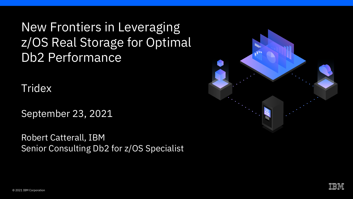New Frontiers in Leveraging z/OS Real Storage for Optimal Db2 Performance

**Tridex** 

September 23, 2021

Robert Catterall, IBM Senior Consulting Db2 for z/OS Specialist



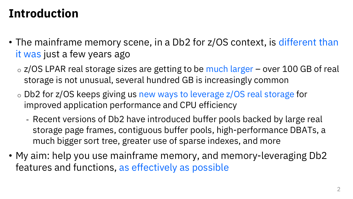#### **Introduction**

- The mainframe memory scene, in a Db2 for z/OS context, is different than it was just a few years ago
	- $\circ$  z/OS LPAR real storage sizes are getting to be much larger over 100 GB of real storage is not unusual, several hundred GB is increasingly common
	- o Db2 for z/OS keeps giving us new ways to leverage z/OS real storage for improved application performance and CPU efficiency
		- Recent versions of Db2 have introduced buffer pools backed by large real storage page frames, contiguous buffer pools, high-performance DBATs, a much bigger sort tree, greater use of sparse indexes, and more
- My aim: help you use mainframe memory, and memory-leveraging Db2 features and functions, as effectively as possible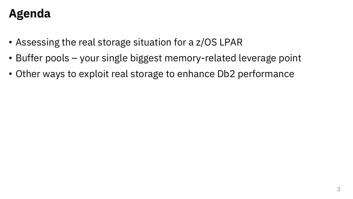### **Agenda**

- Assessing the real storage situation for a z/OS LPAR
- Buffer pools your single biggest memory-related leverage point
- Other ways to exploit real storage to enhance Db2 performance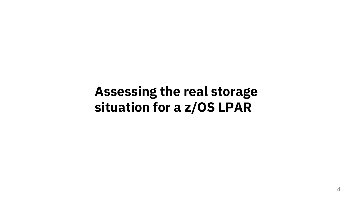# **Assessing the real storage situation for a z/OS LPAR**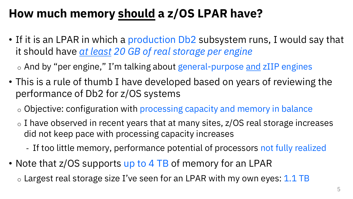# **How much memory should a z/OS LPAR have?**

• If it is an LPAR in which a production Db2 subsystem runs, I would say that it should have *at least 20 GB of real storage per engine*

o And by "per engine," I'm talking about general-purpose and zIIP engines

- This is a rule of thumb I have developed based on years of reviewing the performance of Db2 for z/OS systems
	- o Objective: configuration with processing capacity and memory in balance
	- $\circ$  I have observed in recent years that at many sites,  $z/OS$  real storage increases did not keep pace with processing capacity increases
		- If too little memory, performance potential of processors not fully realized
- Note that z/OS supports up to 4 TB of memory for an LPAR

 $\circ$  Largest real storage size I've seen for an LPAR with my own eyes: 1.1 TB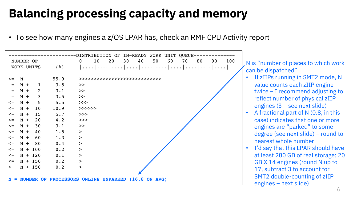# **Balancing processing capacity and memory**

• To see how many engines a z/OS LPAR has, check an RMF CPU Activity report



N is "number of places to which work can be dispatched"

- If zIIPs running in SMT2 mode, N value counts each zIIP engine twice – I recommend adjusting to reflect number of physical zIIP engines (3 – see next slide)
- A fractional part of N (0.8, in this case) indicates that one or more engines are "parked" to some degree (see next slide) – round to nearest whole number
- I'd say that this LPAR should have at least 280 GB of real storage: 20 GB X 14 engines (round N up to 17, subtract 3 to account for SMT2 double-counting of zIIP engines – next slide)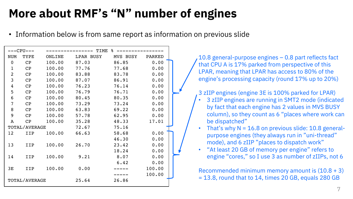# **More about RMF's "N" number of engines**

• Information below is from same report as information on previous slide

| ---CPU---     |            |              | ------ TIME<br>နွ |                    |               |  |
|---------------|------------|--------------|-------------------|--------------------|---------------|--|
| <b>NUM</b>    | TYPE       | ONLINE       |                   | LPAR BUSY MVS BUSY | <b>PARKED</b> |  |
| $\Omega$      | CP         | 100.00       | 87.03             | 86.85              | 0.00          |  |
| $\mathbf{1}$  | CP         | 100.00       | 77.76             | 77.68              | 0.00          |  |
| 2             | CP         | 100.00       | 83.88             | 83.78              | 0.00          |  |
| 3             | CP         | 100.00       | 87.07             | 86.91              | 0.00          |  |
| 4             | CP         | 100.00       | 76.23             | 76.14              | 0.00          |  |
| 5             | CP         | 100.00       | 76.79             | 76.71              | 0.00          |  |
| 6             | CP         | 100.00       | 80.45             | 80.35              | 0.00          |  |
| 7             | CP         | 100.00       | 73.29             | 73.24              | 0.00          |  |
| 8             | CP         | 100.00 63.83 |                   | 69.22              | 0.00          |  |
| 9             | CP         | 100.00       | 57.78             | 62.95              | 0.00          |  |
| $\mathbf{A}$  | CP         | 100.00       | 35.28             | 48.33              | 17.01         |  |
| TOTAL/AVERAGE |            | 72.67        | 75.16             |                    |               |  |
| 12            | <b>IIP</b> | 100.00       | 66.63             | 58.68              | 0.00          |  |
|               |            |              |                   | 46.30              | 0.00          |  |
| 13            | <b>IIP</b> | 100.00       | 26.70             | 23.42              | 0.00          |  |
|               |            |              |                   | 18.24              | 0.00          |  |
| 14            | IIP        | 100.00       | 9.21              | 8.07               | 0.00          |  |
|               |            |              |                   | 6.42               | 0.00          |  |
| 3E            | IIP        | 100.00       | 0.00              | $\frac{1}{2}$      | 100.00        |  |
|               |            |              |                   |                    | 100.00        |  |
| TOTAL/AVERAGE |            | 25.64        | 26.86             |                    |               |  |

10.8 general-purpose engines – 0.8 part reflects fact that CPU A is 17% parked from perspective of this LPAR, meaning that LPAR has access to 80% of the engine's processing capacity (round 17% up to 20%)

3 zIIP engines (engine 3E is 100% parked for LPAR)

- 3 zIIP engines are running in SMT2 mode (indicated by fact that each engine has 2 values in MVS BUSY column), so they count as 6 "places where work can be dispatched"
- That's why  $N = 16.8$  on previous slide: 10.8 generalpurpose engines (they always run in "uni-thread" mode), and 6 zIIP "places to dispatch work"
- "At least 20 GB of memory per engine" refers to engine "cores," so I use 3 as number of zIIPs, not 6

Recommended minimum memory amount is  $(10.8 + 3)$ = 13.8, round that to 14, times 20 GB, equals 280 GB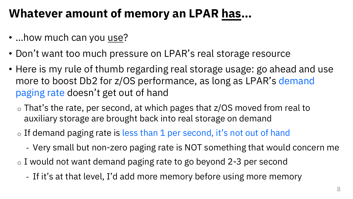#### **Whatever amount of memory an LPAR has…**

- …how much can you use?
- Don't want too much pressure on LPAR's real storage resource
- Here is my rule of thumb regarding real storage usage: go ahead and use more to boost Db2 for z/OS performance, as long as LPAR's demand paging rate doesn't get out of hand
	- $\circ$  That's the rate, per second, at which pages that z/OS moved from real to auxiliary storage are brought back into real storage on demand
	- o If demand paging rate is less than 1 per second, it's not out of hand
		- Very small but non-zero paging rate is NOT something that would concern me
	- o I would not want demand paging rate to go beyond 2-3 per second
		- If it's at that level, I'd add more memory before using more memory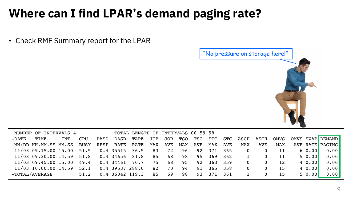### **Where can I find LPAR's demand paging rate?**

11/03 10.00.00 14.59 52.1 0.4 39537 288.0 82 70 94 91 365 358 0 0 15 4 0.00 0.00 -TOTAL/AVERAGE 51.2 0.4 36042 119.3 85 69 98 93 371 361 1 0 15 5 0.00 0.00

• Check RMF Summary report for the LPAR

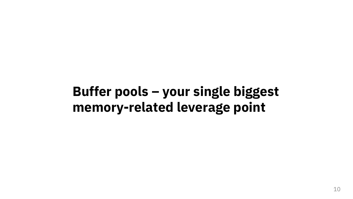# **Buffer pools – your single biggest memory-related leverage point**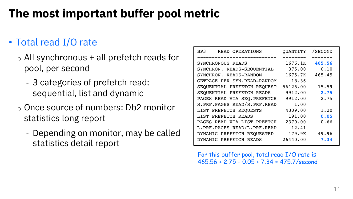# **The most important buffer pool metric**

#### • Total read I/O rate

- $\circ$  All synchronous + all prefetch reads for pool, per second
	- 3 categories of prefetch read: sequential, list and dynamic
- o Once source of numbers: Db2 monitor statistics long report
	- Depending on monitor, may be called statistics detail report

| BP3<br>READ OPERATIONS       | OUANTITY | /SECOND |
|------------------------------|----------|---------|
| SYNCHRONOUS READS            | 1676.1K  | 465.56  |
| SYNCHRON. READS-SEQUENTIAL   | 375.00   | 0.10    |
| SYNCHRON. READS-RANDOM       | 1675.7K  | 465.45  |
| GETPAGE PER SYN.READ-RANDOM  | 18.36    |         |
| SEOUENTIAL PREFETCH REOUEST  | 56125.00 | 15.59   |
| SEOUENTIAL PREFETCH READS    | 9912.00  | 2.75    |
| PAGES READ VIA SEO. PREFETCH | 9912.00  | 2.75    |
| S.PRF.PAGES READ/S.PRF.READ  | 1.00     |         |
| LIST PREFETCH REOUESTS       | 4309.00  | 1.20    |
| LIST PREFETCH READS          | 191.00   | 0.05    |
| PAGES READ VIA LIST PREFTCH  | 2370.00  | 0.66    |
| L.PRF.PAGES READ/L.PRF.READ  | 12.41    |         |
| DYNAMIC PREFETCH REOUESTED   | 179.9K   | 49.96   |
| DYNAMIC PREFETCH READS       | 26440.00 | 7.34    |

For this buffer pool, total read I/O rate is 465.56 + 2.75 + 0.05 + 7.34 = 475.7/second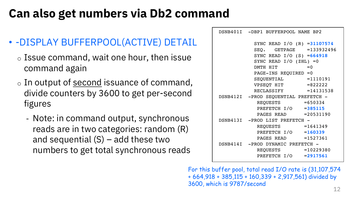### **Can also get numbers via Db2 command**

#### • -DISPLAY BUFFERPOOL(ACTIVE) DETAIL

- $\circ$  Issue command, wait one hour, then issue command again
- $\circ$  In output of second issuance of command, divide counters by 3600 to get per-second figures
	- Note: in command output, synchronous reads are in two categories: random (R) and sequential  $(S)$  – add these two numbers to get total synchronous reads

| DSNB401I -DBP1 BUFFERPOOL NAME BP2   |       |
|--------------------------------------|-------|
| SYNC READ I/O (R) = 31107574         |       |
| SEQ. GETPAGE = 133932496             |       |
| SYNC READ $I/O$ (S) = 664918         |       |
| SYNC READ $I/O$ (ZHL) =0             |       |
| DMTH HIT                             | $= 0$ |
| $PAGE-INS$ REQUIRED =0               |       |
| $SEQUENTIAL$ =1110191                |       |
| $VPSEQT HIT$ =822222                 |       |
| RECLASSIFY = 14131538                |       |
| DSNB412I -PROD SEQUENTIAL PREFETCH - |       |
| $REQUESTS$ =650334                   |       |
| PREFETCH I/O =385115                 |       |
| PAGES READ =20531190                 |       |
| DSNB413I -PROD LIST PREFETCH -       |       |
| REQUESTS $=1641349$                  |       |
| PREFETCH $I/O = 160339$              |       |
| PAGES READ $=1527361$                |       |
| DSNB414I -PROD DYNAMIC PREFETCH -    |       |
| REQUESTS = 10229380                  |       |
| PREFETCH I/O = 2917561               |       |
|                                      |       |

For this buffer pool, total read I/O rate is (31,107,574 + 664,918 + 385,115 + 160,339 + 2,917,561) divided by 3600, which is 9787/second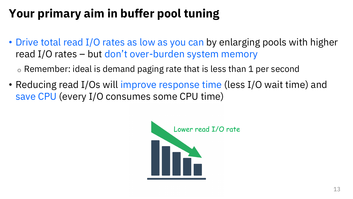# **Your primary aim in buffer pool tuning**

• Drive total read I/O rates as low as you can by enlarging pools with higher read I/O rates – but don't over-burden system memory

 $\circ$  Remember: ideal is demand paging rate that is less than 1 per second

• Reducing read I/Os will improve response time (less I/O wait time) and save CPU (every I/O consumes some CPU time)

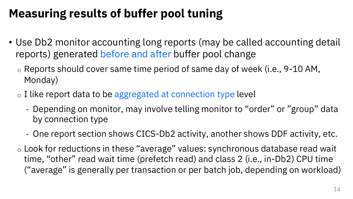# **Measuring results of buffer pool tuning**

- Use Db2 monitor accounting long reports (may be called accounting detail reports) generated before and after buffer pool change
	- o Reports should cover same time period of same day of week (i.e., 9-10 AM, Monday)
	- o I like report data to be aggregated at connection type level
		- Depending on monitor, may involve telling monitor to "order" or "group" data by connection type
		- One report section shows CICS-Db2 activity, another shows DDF activity, etc.
	- o Look for reductions in these "average" values: synchronous database read wait time, "other" read wait time (prefetch read) and class 2 (i.e., in-Db2) CPU time ("average" is generally per transaction or per batch job, depending on workload)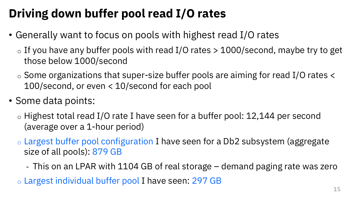# **Driving down buffer pool read I/O rates**

- Generally want to focus on pools with highest read I/O rates
	- $\circ$  If you have any buffer pools with read I/O rates  $>$  1000/second, maybe try to get those below 1000/second
	- o Some organizations that super-size buffer pools are aiming for read I/O rates < 100/second, or even < 10/second for each pool
- Some data points:
	- o Highest total read I/O rate I have seen for a buffer pool: 12,144 per second (average over a 1-hour period)
	- o Largest buffer pool configuration I have seen for a Db2 subsystem (aggregate size of all pools): 879 GB
		- This on an LPAR with 1104 GB of real storage demand paging rate was zero
	- o Largest individual buffer pool I have seen: 297 GB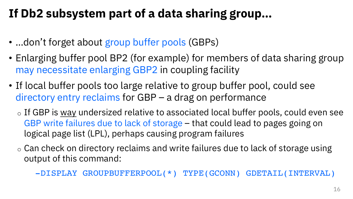# **If Db2 subsystem part of a data sharing group…**

- …don't forget about group buffer pools (GBPs)
- Enlarging buffer pool BP2 (for example) for members of data sharing group may necessitate enlarging GBP2 in coupling facility
- If local buffer pools too large relative to group buffer pool, could see directory entry reclaims for GBP – a drag on performance
	- $\circ$  If GBP is way undersized relative to associated local buffer pools, could even see GBP write failures due to lack of storage – that could lead to pages going on logical page list (LPL), perhaps causing program failures
	- $\circ$  Can check on directory reclaims and write failures due to lack of storage using output of this command:

-DISPLAY GROUPBUFFERPOOL(\*) TYPE(GCONN) GDETAIL(INTERVAL)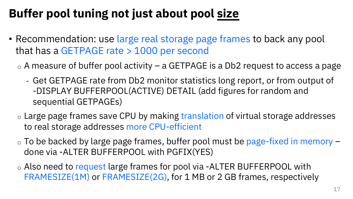# **Buffer pool tuning not just about pool size**

- Recommendation: use large real storage page frames to back any pool that has a GETPAGE rate > 1000 per second
	- $\circ$  A measure of buffer pool activity a GETPAGE is a Db2 request to access a page
		- Get GETPAGE rate from Db2 monitor statistics long report, or from output of -DISPLAY BUFFERPOOL(ACTIVE) DETAIL (add figures for random and sequential GETPAGEs)
	- o Large page frames save CPU by making translation of virtual storage addresses to real storage addresses more CPU-efficient
	- $\circ$  To be backed by large page frames, buffer pool must be page-fixed in memory  $$ done via -ALTER BUFFERPOOL with PGFIX(YES)
	- o Also need to request large frames for pool via -ALTER BUFFERPOOL with FRAMESIZE(1M) or FRAMESIZE(2G), for 1 MB or 2 GB frames, respectively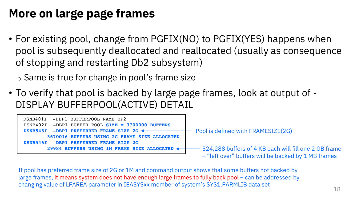#### **More on large page frames**

- For existing pool, change from PGFIX(NO) to PGFIX(YES) happens when pool is subsequently deallocated and reallocated (usually as consequence of stopping and restarting Db2 subsystem)
	- o Same is true for change in pool's frame size
- To verify that pool is backed by large page frames, look at output of DISPLAY BUFFERPOOL(ACTIVE) DETAIL



If pool has preferred frame size of 2G or 1M and command output shows that some buffers not backed by large frames, it means system does not have enough large frames to fully back pool – can be addressed by changing value of LFAREA parameter in IEASYSxx member of system's SYS1.PARMLIB data set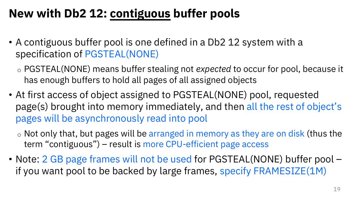# **New with Db2 12: contiguous buffer pools**

- A contiguous buffer pool is one defined in a Db2 12 system with a specification of PGSTEAL(NONE)
	- o PGSTEAL(NONE) means buffer stealing not *expected* to occur for pool, because it has enough buffers to hold all pages of all assigned objects
- At first access of object assigned to PGSTEAL(NONE) pool, requested page(s) brought into memory immediately, and then all the rest of object's pages will be asynchronously read into pool
	- $\circ$  Not only that, but pages will be arranged in memory as they are on disk (thus the term "contiguous") – result is more CPU-efficient page access
- Note: 2 GB page frames will not be used for PGSTEAL(NONE) buffer pool if you want pool to be backed by large frames, specify FRAMESIZE(1M)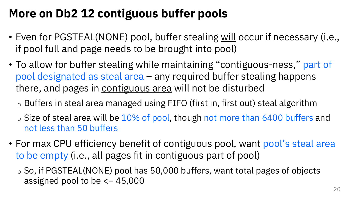### **More on Db2 12 contiguous buffer pools**

- Even for PGSTEAL(NONE) pool, buffer stealing will occur if necessary (i.e., if pool full and page needs to be brought into pool)
- To allow for buffer stealing while maintaining "contiguous-ness," part of pool designated as steal area – any required buffer stealing happens there, and pages in contiguous area will not be disturbed
	- o Buffers in steal area managed using FIFO (first in, first out) steal algorithm
	- $\circ$  Size of steal area will be 10% of pool, though not more than 6400 buffers and not less than 50 buffers
- For max CPU efficiency benefit of contiguous pool, want pool's steal area to be empty (i.e., all pages fit in contiguous part of pool)
	- $\circ$  So, if PGSTEAL(NONE) pool has 50,000 buffers, want total pages of objects assigned pool to be  $\leq$  45,000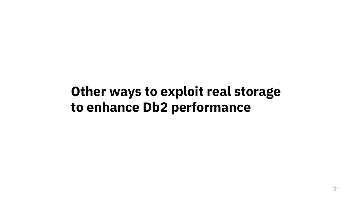# **Other ways to exploit real storage to enhance Db2 performance**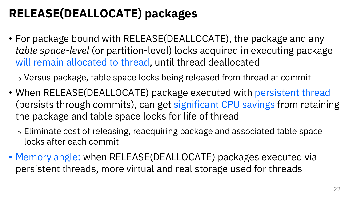# **RELEASE(DEALLOCATE) packages**

• For package bound with RELEASE(DEALLOCATE), the package and any *table space-level* (or partition-level) locks acquired in executing package will remain allocated to thread, until thread deallocated

o Versus package, table space locks being released from thread at commit

- When RELEASE(DEALLOCATE) package executed with persistent thread (persists through commits), can get significant CPU savings from retaining the package and table space locks for life of thread
	- o Eliminate cost of releasing, reacquiring package and associated table space locks after each commit
- Memory angle: when RELEASE(DEALLOCATE) packages executed via persistent threads, more virtual and real storage used for threads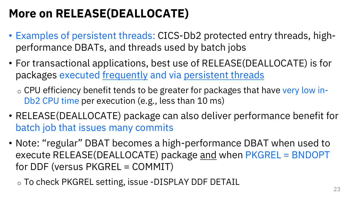# **More on RELEASE(DEALLOCATE)**

- Examples of persistent threads: CICS-Db2 protected entry threads, highperformance DBATs, and threads used by batch jobs
- For transactional applications, best use of RELEASE(DEALLOCATE) is for packages executed frequently and via persistent threads

o CPU efficiency benefit tends to be greater for packages that have very low in-Db2 CPU time per execution (e.g., less than 10 ms)

- RELEASE(DEALLOCATE) package can also deliver performance benefit for batch job that issues many commits
- Note: "regular" DBAT becomes a high-performance DBAT when used to execute RELEASE(DEALLOCATE) package and when PKGREL = BNDOPT for DDF (versus PKGREL = COMMIT)

o To check PKGREL setting, issue -DISPLAY DDF DETAIL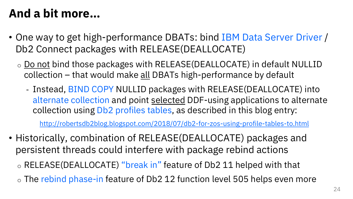#### **And a bit more…**

- One way to get high-performance DBATs: bind IBM Data Server D Db2 Connect packages with RELEASE(DEALLOCATE)
	- $\circ$  Do not bind those packages with RELEASE(DEALLOCATE) in default NI collection – that would make all DBATs high-performance by default
		- Instead, BIND COPY NULLID packages with RELEASE(DEALLOCATE alternate collection and point selected DDF-using applications to alternate collection using Db2 profiles tables, as described in this blog entry:

http://robertsdb2blog.blogspot.com/2018/07/db2-for-zos-using-profile-tables-to.html

- Historically, combination of RELEASE(DEALLOCATE) packages an persistent threads could interfere with package rebind actions
	- o RELEASE(DEALLOCATE) "break in" feature of Db2 11 helped with that
	- $\circ$  The rebind phase-in feature of Db2 12 function level 505 helps even no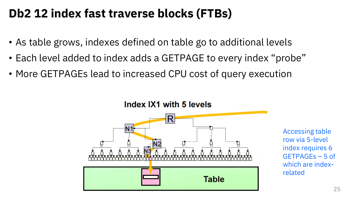#### **Db2 12 index fast traverse blocks (FTBs)**

- As table grows, indexes defined on table go to additional levels
- Each level added to index adds a GETPAGE to every index "probe"
- More GETPAGEs lead to increased CPU cost of query execution



Accessing table row via 5-level index requires 6 GETPAGEs – 5 of which are indexrelated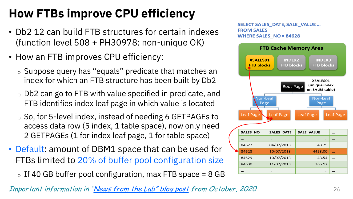# **How FTBs improve CPU efficiency**

- Db2 12 can build FTB structures for certain indexes (function level 508 + PH30978: non-unique OK)
- How an FTB improves CPU efficiency:
	- o Suppose query has "equals" predicate that matches an index for which an FTB structure has been built by Db2
	- o Db2 can go to FTB with value specified in predicate, and FTB identifies index leaf page in which value is located
	- o So, for 5-level index, instead of needing 6 GETPAGEs to access data row (5 index, 1 table space), now only need 2 GETPAGEs (1 for index leaf page, 1 for table space)
- Default: amount of DBM1 space that can be used for FTBs limited to 20% of buffer pool configuration size
	- $\circ$  If 40 GB buffer pool configuration, max FTB space = 8 GB

SELECT SALES DATE, SALE **FROM SALES** WHERE SALES NO = 84628



Important information in "News from the Lab" blog post from October, 2020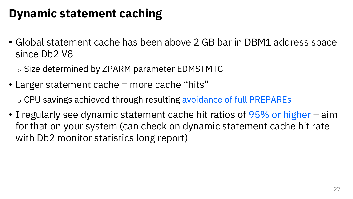### **Dynamic statement caching**

• Global statement cache has been above 2 GB bar in DBM1 address space since Db2 V8

o Size determined by ZPARM parameter EDMSTMTC

• Larger statement cache = more cache "hits"

o CPU savings achieved through resulting avoidance of full PREPAREs

• I regularly see dynamic statement cache hit ratios of 95% or higher – aim for that on your system (can check on dynamic statement cache hit rate with Db2 monitor statistics long report)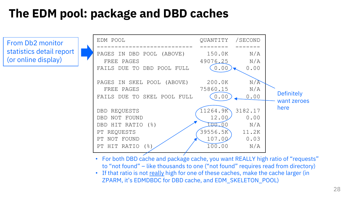### **The EDM pool: package and DBD caches**

From Db2 monitor statistics detail report (or online display)



- For both DBD cache and package cache, you want REALLY high ratio of "requests" to "not found" – like thousands to one ("not found" requires read from directory)
- If that ratio is not really high for one of these caches, make the cache larger (in ZPARM, it's EDMDBDC for DBD cache, and EDM\_SKELETON\_POOL)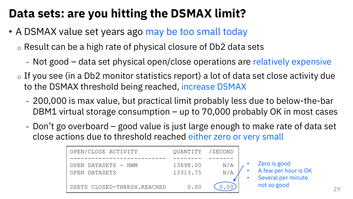# **Data sets: are you hitting the DSMAX limit?**

• A DSMAX value set years ago may be too small today

o Result can be a high rate of physical closure of Db2 data sets

- Not good data set physical open/close operations are relatively expensive
- $\circ$  If you see (in a Db2 monitor statistics report) a lot of data set close activity due to the DSMAX threshold being reached, increase DSMAX
	- 200,000 is max value, but practical limit probably less due to below-the-bar DBM1 virtual storage consumption – up to 70,000 probably OK in most cases
	- Don't go overboard good value is just large enough to make rate of data set close actions due to threshold reached either zero or very small

| OPEN/CLOSE ACTIVITY         | QUANTITY / SECOND |     |  |
|-----------------------------|-------------------|-----|--|
|                             |                   |     |  |
| OPEN DATASETS - HWM         | 13698.00          | N/A |  |
| OPEN DATASETS               | 13313.75          |     |  |
|                             |                   |     |  |
| DSETS CLOSED-THRESH.REACHED | 0.00              |     |  |

• Zero is good

not so good

• A few per hour is OK Several per minute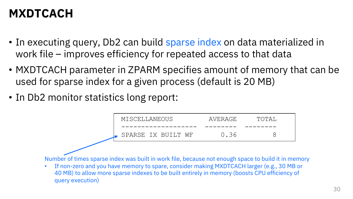#### **MXDTCACH**

- In executing query, Db2 can build sparse index on data materialized in work file – improves efficiency for repeated access to that data
- MXDTCACH parameter in ZPARM specifies amount of memory that can be used for sparse index for a given process (default is 20 MB)
- In Db2 monitor statistics long report:

| MISCELLANEOUS      | AVERAGE | TOTAI |  |
|--------------------|---------|-------|--|
|                    |         |       |  |
| SPARSE IX BUILT WF | 0.36    |       |  |

Number of times sparse index was built in work file, because not enough space to build it in memory

• If non-zero and you have memory to spare, consider making MXDTCACH larger (e.g., 30 MB or 40 MB) to allow more sparse indexes to be built entirely in memory (boosts CPU efficiency of query execution)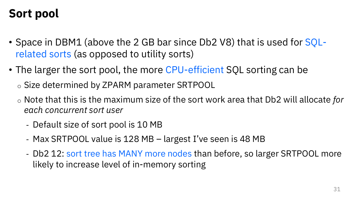# **Sort pool**

- Space in DBM1 (above the 2 GB bar since Db2 V8) that is used for SQLrelated sorts (as opposed to utility sorts)
- The larger the sort pool, the more CPU-efficient SQL sorting can be
	- o Size determined by ZPARM parameter SRTPOOL
	- o Note that this is the maximum size of the sort work area that Db2 will allocate *for each concurrent sort user*
		- Default size of sort pool is 10 MB
		- Max SRTPOOL value is 128 MB largest I've seen is 48 MB
		- Db2 12: sort tree has MANY more nodes than before, so larger SRTPOOL more likely to increase level of in-memory sorting